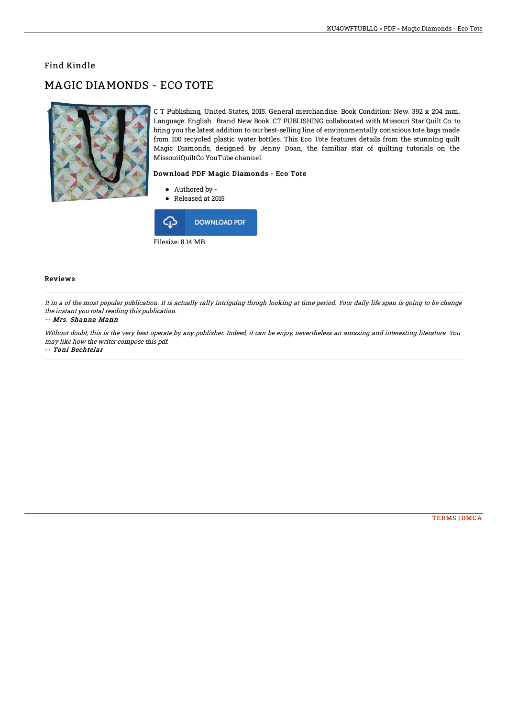### Find Kindle

# MAGIC DIAMONDS - ECO TOTE



C T Publishing, United States, 2015. General merchandise. Book Condition: New. 392 x 204 mm. Language: English . Brand New Book. CT PUBLISHING collaborated with Missouri Star Quilt Co. to bring you the latest addition to our best-selling line of environmentally conscious tote bags made from 100 recycled plastic water bottles. This Eco Tote features details from the stunning quilt Magic Diamonds, designed by Jenny Doan, the familiar star of quilting tutorials on the MissouriQuiltCo YouTube channel.

### Download PDF Magic Diamonds - Eco Tote

- Authored by -
- Released at 2015



#### Reviews

It in <sup>a</sup> of the most popular publication. It is actually rally intriguing throgh looking at time period. Your daily life span is going to be change the instant you total reading this publication.

#### -- Mrs. Shanna Mann

Without doubt, this is the very best operate by any publisher. Indeed, it can be enjoy, nevertheless an amazing and interesting literature. You may like how the writer compose this pdf.

-- Toni Bechtelar